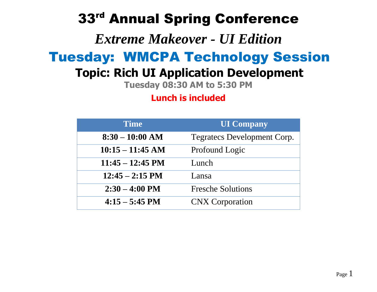# 33rd Annual Spring Conference

## *Extreme Makeover - UI Edition*

# Tuesday: WMCPA Technology Session

## **Topic: Rich UI Application Development**

**Tuesday 08:30 AM to 5:30 PM**

**Lunch is included**

| <b>Time</b>                | <b>UI Company</b>                  |  |
|----------------------------|------------------------------------|--|
| $8:30 - 10:00$ AM          | <b>Tegratecs Development Corp.</b> |  |
| $10:15 - 11:45$ AM         | Profound Logic                     |  |
| $11:45 - 12:45 \text{ PM}$ | Lunch                              |  |
| $12:45 - 2:15 \text{ PM}$  | Lansa                              |  |
| $2:30 - 4:00 \text{ PM}$   | <b>Fresche Solutions</b>           |  |
| $4:15 - 5:45 \text{ PM}$   | <b>CNX</b> Corporation             |  |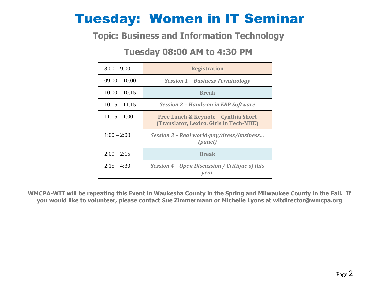# Tuesday: Women in IT Seminar

#### **Topic: Business and Information Technology**

#### **Tuesday 08:00 AM to 4:30 PM**

| $8:00 - 9:00$   | <b>Registration</b>                                                             |  |  |
|-----------------|---------------------------------------------------------------------------------|--|--|
| $09:00 - 10:00$ | <b>Session 1 - Business Terminology</b>                                         |  |  |
| $10:00 - 10:15$ | <b>Break</b>                                                                    |  |  |
| $10:15 - 11:15$ | <b>Session 2 - Hands-on in ERP Software</b>                                     |  |  |
| $11:15 - 1:00$  | Free Lunch & Keynote - Cynthia Short<br>(Translator, Lexico, Girls in Tech-MKE) |  |  |
| $1:00 - 2:00$   | Session 3 - Real world-pay/dress/business<br>(panel)                            |  |  |
| $2:00 - 2:15$   | <b>Break</b>                                                                    |  |  |
| $2:15 - 4:30$   | Session 4 - Open Discussion / Critique of this<br>vear                          |  |  |

**WMCPA-WIT will be repeating this Event in Waukesha County in the Spring and Milwaukee County in the Fall. If you would like to volunteer, please contact Sue Zimmermann or Michelle Lyons at witdirector@wmcpa.org**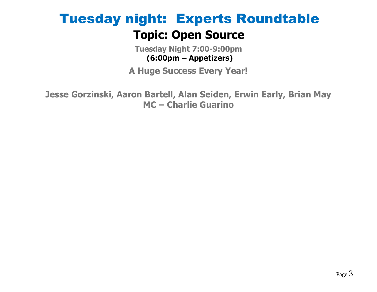# Tuesday night: Experts Roundtable **Topic: Open Source**

**Tuesday Night 7:00-9:00pm (6:00pm – Appetizers)**

**A Huge Success Every Year!**

**Jesse Gorzinski, Aaron Bartell, Alan Seiden, Erwin Early, Brian May MC – Charlie Guarino**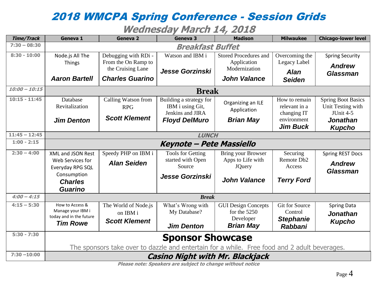### 2018 WMCPA Spring Conference - Session Grids

#### **Wednesday March 14, 2018**

| <b>Time/Track</b> | Geneva 1                                                                                     | <b>Geneva 2</b>        | Geneva 3                                 | <b>Madison</b>                     | <b>Milwaukee</b>                 | <b>Chicago-lower level</b>   |
|-------------------|----------------------------------------------------------------------------------------------|------------------------|------------------------------------------|------------------------------------|----------------------------------|------------------------------|
| $7:30 - 08:30$    | <b>Breakfast Buffet</b>                                                                      |                        |                                          |                                    |                                  |                              |
| $8:30 - 10:00$    | Node.js All The                                                                              | Debugging with RDi -   | Watson and IBM i                         | <b>Stored Procedures and</b>       | Overcoming the                   | <b>Spring Security</b>       |
|                   | <b>Things</b>                                                                                | From the On Ramp to    |                                          | Application                        | Legacy Label                     | <b>Andrew</b>                |
|                   |                                                                                              | the Cruising Lane      | Jesse Gorzinski                          | Modernization                      | <b>Alan</b>                      | <b>Glassman</b>              |
|                   | <b>Aaron Bartell</b>                                                                         | <b>Charles Guarino</b> |                                          | <b>John Valance</b>                | <b>Seiden</b>                    |                              |
| $10:00 - 10:15$   | <b>Break</b>                                                                                 |                        |                                          |                                    |                                  |                              |
| $10:15 - 11:45$   | Database                                                                                     | Calling Watson from    | Building a strategy for                  | Organizing an ILE                  | How to remain                    | <b>Spring Boot Basics</b>    |
|                   | Revitalization                                                                               | <b>RPG</b>             | IBM i using Git,                         | Application                        | relevant in a                    | Unit Testing with            |
|                   |                                                                                              | <b>Scott Klement</b>   | Jenkins and JIRA<br><b>Floyd DelMuro</b> | <b>Brian May</b>                   | changing IT<br>environment       | JUnit 4-5<br><b>Jonathan</b> |
|                   | <b>Jim Denton</b>                                                                            |                        |                                          |                                    | <b>Jim Buck</b>                  | <b>Kupcho</b>                |
| $11:45 - 12:45$   |                                                                                              |                        | <b>LUNCH</b>                             |                                    |                                  |                              |
| $1:00 - 2:15$     |                                                                                              |                        | Keynote – Pete Massiello                 |                                    |                                  |                              |
|                   |                                                                                              |                        |                                          |                                    |                                  |                              |
| $2:30 - 4:00$     | <b>XML and JSON Rest</b>                                                                     | Speedy PHP on IBM i    | <b>Tools for Getting</b>                 | Bring your Browser                 | Securing                         | <b>Spring REST Docs</b>      |
|                   | Web Services for                                                                             | <b>Alan Seiden</b>     | started with Open<br>Source              | Apps to Life with<br><b>JQuery</b> | Remote Db <sub>2</sub><br>Access | <b>Andrew</b>                |
|                   | Everyday RPG SQL<br>Consumption                                                              |                        |                                          |                                    |                                  | <b>Glassman</b>              |
|                   | <b>Charles</b>                                                                               |                        | <b>Jesse Gorzinski</b>                   | <b>John Valance</b>                | <b>Terry Ford</b>                |                              |
|                   | <b>Guarino</b>                                                                               |                        |                                          |                                    |                                  |                              |
| $4:00 - 4:15$     | <b>Break</b>                                                                                 |                        |                                          |                                    |                                  |                              |
| $4:15 - 5:30$     | How to Access &                                                                              | The World of Node.js   | What's Wrong with                        | <b>GUI Design Concepts</b>         | <b>Git for Source</b>            | <b>Spring Data</b>           |
|                   | Manage your IBM i                                                                            | on IBM i               | My Database?                             | for the $5250$                     | Control                          | <b>Jonathan</b>              |
|                   | today and in the future                                                                      | <b>Scott Klement</b>   |                                          | Developer                          | <b>Stephanie</b>                 | <b>Kupcho</b>                |
|                   | <b>Tim Rowe</b>                                                                              |                        | <b>Jim Denton</b>                        | <b>Brian May</b>                   | <b>Rabbani</b>                   |                              |
| $5:30 - 7:30$     |                                                                                              |                        |                                          |                                    |                                  |                              |
|                   | <b>Sponsor Showcase</b>                                                                      |                        |                                          |                                    |                                  |                              |
|                   | The sponsors take over to dazzle and entertain for a while. Free food and 2 adult beverages. |                        |                                          |                                    |                                  |                              |
| $7:30 - 10:00$    | <b>Casino Night with Mr. Blackjack</b>                                                       |                        |                                          |                                    |                                  |                              |

**Please note: Speakers are subject to change without notice**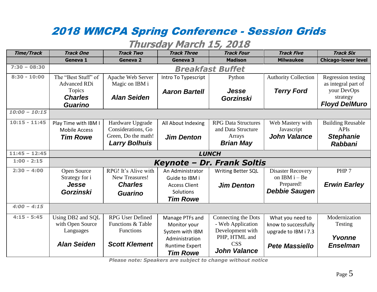## 2018 WMCPA Spring Conference - Session Grids

#### **Thursday March 15, 2018**

| <b>Time/Track</b> | <b>Track One</b>                           | <b>Track Two</b>                    | <b>Track Three</b>    | <b>Track Four</b>           | <b>Track Five</b>           | <b>Track Six</b>                          |
|-------------------|--------------------------------------------|-------------------------------------|-----------------------|-----------------------------|-----------------------------|-------------------------------------------|
|                   | Geneva 1                                   | <b>Geneva 2</b>                     | Geneva 3              | <b>Madison</b>              | <b>Milwaukee</b>            | <b>Chicago-lower level</b>                |
| $7:30 - 08:30$    | <b>Breakfast Buffet</b>                    |                                     |                       |                             |                             |                                           |
| $8:30 - 10:00$    | The "Best Stuff" of<br><b>Advanced RDi</b> | Apache Web Server<br>Magic on IBM i | Intro To Typescript   | Python                      | <b>Authority Collection</b> | Regression testing<br>as integral part of |
|                   | <b>Topics</b>                              |                                     | <b>Aaron Bartell</b>  | Jesse                       | <b>Terry Ford</b>           | your DevOps                               |
|                   | <b>Charles</b>                             | <b>Alan Seiden</b>                  |                       | <b>Gorzinski</b>            |                             | strategy                                  |
|                   | <b>Guarino</b>                             |                                     |                       |                             |                             | <b>Floyd DelMuro</b>                      |
| $10:00 - 10:15$   |                                            |                                     |                       |                             |                             |                                           |
| $10:15 - 11:45$   | Play Time with IBM I                       | Hardware Upgrade                    | All About Indexing    | <b>RPG Data Structures</b>  | Web Mastery with            | <b>Building Reusable</b>                  |
|                   | <b>Mobile Access</b>                       | Considerations, Go                  |                       | and Data Structure          | Javascript                  | <b>APIs</b>                               |
|                   | <b>Tim Rowe</b>                            | Green, Do the math!                 | <b>Jim Denton</b>     | Arrays                      | <b>John Valance</b>         | <b>Stephanie</b>                          |
|                   |                                            | <b>Larry Bolhuis</b>                |                       | <b>Brian May</b>            |                             | <b>Rabbani</b>                            |
| $11:45 - 12:45$   | <b>LUNCH</b>                               |                                     |                       |                             |                             |                                           |
| $1:00 - 2:15$     | Keynote - Dr. Frank Soltis                 |                                     |                       |                             |                             |                                           |
| $2:30 - 4:00$     | Open Source                                | RPG! It's Alive with                | An Administrator      | <b>Writing Better SQL</b>   | <b>Disaster Recovery</b>    | PHP <sub>7</sub>                          |
|                   | Strategy for i                             | New Treasures!                      | Guide to IBM i        |                             | on IBM $i - Be$             |                                           |
|                   | <b>Jesse</b>                               | <b>Charles</b>                      | <b>Access Client</b>  | <b>Jim Denton</b>           | Prepared!                   | <b>Erwin Earley</b>                       |
|                   | <b>Gorzinski</b>                           | <b>Guarino</b>                      | Solutions             |                             | <b>Debbie Saugen</b>        |                                           |
|                   |                                            |                                     | <b>Tim Rowe</b>       |                             |                             |                                           |
| $4:00 - 4:15$     |                                            |                                     |                       |                             |                             |                                           |
| $4:15 - 5:45$     | Using DB2 and SQL                          | <b>RPG User Defined</b>             | Manage PTFs and       | Connecting the Dots         | What you need to            | Modernization                             |
|                   | with Open Source                           | <b>Functions &amp; Table</b>        | Monitor your          | - Web Application           | know to successfully        | Testing                                   |
|                   | Languages                                  | <b>Functions</b>                    | System with IBM       | Development with            | upgrade to IBM i 7.3        |                                           |
|                   |                                            |                                     | Administration        | PHP, HTML and<br><b>CSS</b> |                             | Yvonne                                    |
|                   | <b>Alan Seiden</b>                         | <b>Scott Klement</b>                | <b>Runtime Expert</b> | <b>John Valance</b>         | <b>Pete Massiello</b>       | <b>Enselman</b>                           |
|                   |                                            |                                     | <b>Tim Rowe</b>       |                             |                             |                                           |

*Please note: Speakers are subject to change without notice*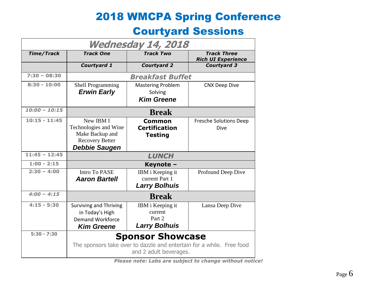### 2018 WMCPA Spring Conference

#### Courtyard Sessions

| Wednesday 14, 2018 |                                                                                                                            |                                                               |                                                 |  |  |
|--------------------|----------------------------------------------------------------------------------------------------------------------------|---------------------------------------------------------------|-------------------------------------------------|--|--|
| <b>Time/Track</b>  | <b>Track One</b>                                                                                                           | <b>Track Two</b>                                              | <b>Track Three</b><br><b>Rich UI Experience</b> |  |  |
|                    | Courtyard 1                                                                                                                | <b>Courtyard 2</b>                                            | <b>Courtyard 3</b>                              |  |  |
| $7:30 - 08:30$     |                                                                                                                            | <b>Breakfast Buffet</b>                                       |                                                 |  |  |
| $8:30 - 10:00$     | <b>Shell Programming</b><br><b>Erwin Early</b>                                                                             | <b>Mastering Problem</b><br>Solving<br><b>Kim Greene</b>      | <b>CNX Deep Dive</b>                            |  |  |
| $10:00 - 10:15$    |                                                                                                                            | <b>Break</b>                                                  |                                                 |  |  |
| $10:15 - 11:45$    | New IBM I<br>Technologies and Wine<br>Make Backup and<br><b>Recovery Better</b><br><b>Debbie Saugen</b>                    | <b>Common</b><br><b>Certification</b><br><b>Testing</b>       | <b>Fresche Solutions Deep</b><br>Dive           |  |  |
| $11:45 - 12:45$    | <b>LUNCH</b>                                                                                                               |                                                               |                                                 |  |  |
| $1:00 - 2:15$      | Keynote -                                                                                                                  |                                                               |                                                 |  |  |
| $2:30 - 4:00$      | <b>Intro To PASE</b><br><b>Aaron Bartell</b>                                                                               | IBM i Keeping it<br>current Part 1<br><b>Larry Bolhuis</b>    | Profound Deep Dive                              |  |  |
| $4:00 - 4:15$      | <b>Break</b>                                                                                                               |                                                               |                                                 |  |  |
| $4:15 - 5:30$      | <b>Surviving and Thriving</b><br>in Today's High<br><b>Demand Workforce</b><br><b>Kim Greene</b>                           | IBM i Keeping it<br>current<br>Part 2<br><b>Larry Bolhuis</b> | Lansa Deep Dive                                 |  |  |
| $5:30 - 7:30$      | <b>Sponsor Showcase</b><br>The sponsors take over to dazzle and entertain for a while. Free food<br>and 2 adult beverages. |                                                               |                                                 |  |  |

*Please note: Labs are subject to change without notice!*